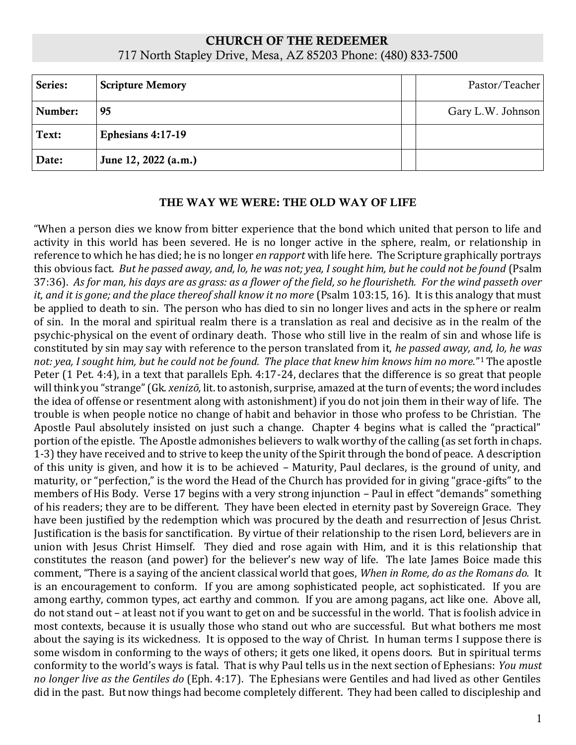# CHURCH OF THE REDEEMER 717 North Stapley Drive, Mesa, AZ 85203 Phone: (480) 833-7500

| Series: | <b>Scripture Memory</b> | Pastor/Teacher    |
|---------|-------------------------|-------------------|
| Number: | 95                      | Gary L.W. Johnson |
| Text:   | Ephesians 4:17-19       |                   |
| Date:   | June 12, 2022 (a.m.)    |                   |

# THE WAY WE WERE: THE OLD WAY OF LIFE

"When a person dies we know from bitter experience that the bond which united that person to life and activity in this world has been severed. He is no longer active in the sphere, realm, or relationship in reference to which he has died; he is no longer *en rapport* with life here. The Scripture graphically portrays this obvious fact. *But he passed away, and, lo, he was not; yea, I sought him, but he could not be found* (Psalm 37:36). *As for man, his days are as grass: as a flower of the field, so he flourisheth. For the wind passeth over it, and it is gone; and the place thereof shall know it no more (Psalm 103:15, 16). It is this analogy that must* be applied to death to sin. The person who has died to sin no longer lives and acts in the sphere or realm of sin. In the moral and spiritual realm there is a translation as real and decisive as in the realm of the psychic-physical on the event of ordinary death. Those who still live in the realm of sin and whose life is constituted by sin may say with reference to the person translated from it, *he passed away, and, lo, he was not: yea, I sought him, but he could not be found. The place that knew him knows him no more.*" <sup>1</sup>The apostle Peter (1 Pet. 4:4), in a text that parallels Eph. 4:17-24, declares that the difference is so great that people will think you "strange" (Gk. *xenizō,* lit. to astonish, surprise, amazed at the turn of events; the word includes the idea of offense or resentment along with astonishment) if you do not join them in their way of life. The trouble is when people notice no change of habit and behavior in those who profess to be Christian. The Apostle Paul absolutely insisted on just such a change. Chapter 4 begins what is called the "practical" portion of the epistle. The Apostle admonishes believers to walk worthy of the calling (as set forth in chaps. 1-3) they have received and to strive to keep the unity of the Spirit through the bond of peace. A description of this unity is given, and how it is to be achieved – Maturity, Paul declares, is the ground of unity, and maturity, or "perfection," is the word the Head of the Church has provided for in giving "grace-gifts" to the members of His Body. Verse 17 begins with a very strong injunction – Paul in effect "demands" something of his readers; they are to be different. They have been elected in eternity past by Sovereign Grace. They have been justified by the redemption which was procured by the death and resurrection of Jesus Christ. Justification is the basis for sanctification. By virtue of their relationship to the risen Lord, believers are in union with Jesus Christ Himself. They died and rose again with Him, and it is this relationship that constitutes the reason (and power) for the believer's new way of life. The late James Boice made this comment, "There is a saying of the ancient classical world that goes, *When in Rome, do as the Romans do.* It is an encouragement to conform. If you are among sophisticated people, act sophisticated. If you are among earthy, common types, act earthy and common. If you are among pagans, act like one. Above all, do not stand out – at least not if you want to get on and be successful in the world. That is foolish advice in most contexts, because it is usually those who stand out who are successful. But what bothers me most about the saying is its wickedness. It is opposed to the way of Christ. In human terms I suppose there is some wisdom in conforming to the ways of others; it gets one liked, it opens doors. But in spiritual terms conformity to the world's ways is fatal. That is why Paul tells us in the next section of Ephesians: *You must no longer live as the Gentiles do* (Eph. 4:17). The Ephesians were Gentiles and had lived as other Gentiles did in the past. But now things had become completely different. They had been called to discipleship and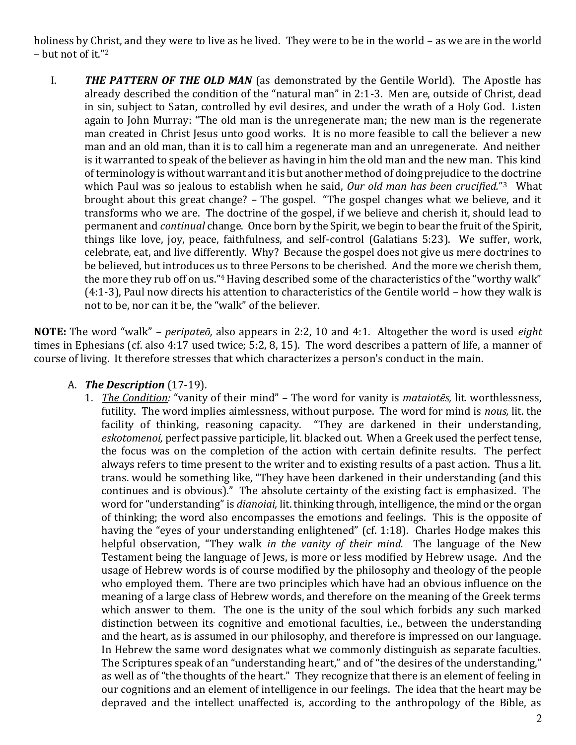holiness by Christ, and they were to live as he lived. They were to be in the world – as we are in the world – but not of it."<sup>2</sup>

I. *THE PATTERN OF THE OLD MAN* (as demonstrated by the Gentile World). The Apostle has already described the condition of the "natural man" in 2:1-3. Men are, outside of Christ, dead in sin, subject to Satan, controlled by evil desires, and under the wrath of a Holy God. Listen again to John Murray: "The old man is the unregenerate man; the new man is the regenerate man created in Christ Jesus unto good works. It is no more feasible to call the believer a new man and an old man, than it is to call him a regenerate man and an unregenerate. And neither is it warranted to speak of the believer as having in him the old man and the new man. This kind of terminology is without warrant and it is but another method of doing prejudice to the doctrine which Paul was so jealous to establish when he said, Our old man has been crucified."<sup>3</sup> What brought about this great change? – The gospel. "The gospel changes what we believe, and it transforms who we are. The doctrine of the gospel, if we believe and cherish it, should lead to permanent and *continual* change. Once born by the Spirit, we begin to bear the fruit of the Spirit, things like love, joy, peace, faithfulness, and self-control (Galatians 5:23). We suffer, work, celebrate, eat, and live differently. Why? Because the gospel does not give us mere doctrines to be believed, but introduces us to three Persons to be cherished. And the more we cherish them, the more they rub off on us."4 Having described some of the characteristics of the "worthy walk" (4:1-3), Paul now directs his attention to characteristics of the Gentile world – how they walk is not to be, nor can it be, the "walk" of the believer.

**NOTE:** The word "walk" – *peripateō,* also appears in 2:2, 10 and 4:1. Altogether the word is used *eight*  times in Ephesians (cf. also 4:17 used twice; 5:2, 8, 15). The word describes a pattern of life, a manner of course of living. It therefore stresses that which characterizes a person's conduct in the main.

# A. *The Description* (17-19).

1. *The Condition:* "vanity of their mind" – The word for vanity is *mataiotēs,* lit. worthlessness, futility. The word implies aimlessness, without purpose. The word for mind is *nous,* lit. the facility of thinking, reasoning capacity. "They are darkened in their understanding, *eskotomenoi,* perfect passive participle, lit. blacked out. When a Greek used the perfect tense, the focus was on the completion of the action with certain definite results. The perfect always refers to time present to the writer and to existing results of a past action. Thus a lit. trans. would be something like, "They have been darkened in their understanding (and this continues and is obvious)." The absolute certainty of the existing fact is emphasized. The word for "understanding" is *dianoiai,* lit. thinking through, intelligence, the mind or the organ of thinking; the word also encompasses the emotions and feelings. This is the opposite of having the "eyes of your understanding enlightened" (cf. 1:18). Charles Hodge makes this helpful observation, "They walk *in the vanity of their mind.* The language of the New Testament being the language of Jews, is more or less modified by Hebrew usage. And the usage of Hebrew words is of course modified by the philosophy and theology of the people who employed them. There are two principles which have had an obvious influence on the meaning of a large class of Hebrew words, and therefore on the meaning of the Greek terms which answer to them. The one is the unity of the soul which forbids any such marked distinction between its cognitive and emotional faculties, i.e., between the understanding and the heart, as is assumed in our philosophy, and therefore is impressed on our language. In Hebrew the same word designates what we commonly distinguish as separate faculties. The Scriptures speak of an "understanding heart," and of "the desires of the understanding," as well as of "the thoughts of the heart." They recognize that there is an element of feeling in our cognitions and an element of intelligence in our feelings. The idea that the heart may be depraved and the intellect unaffected is, according to the anthropology of the Bible, as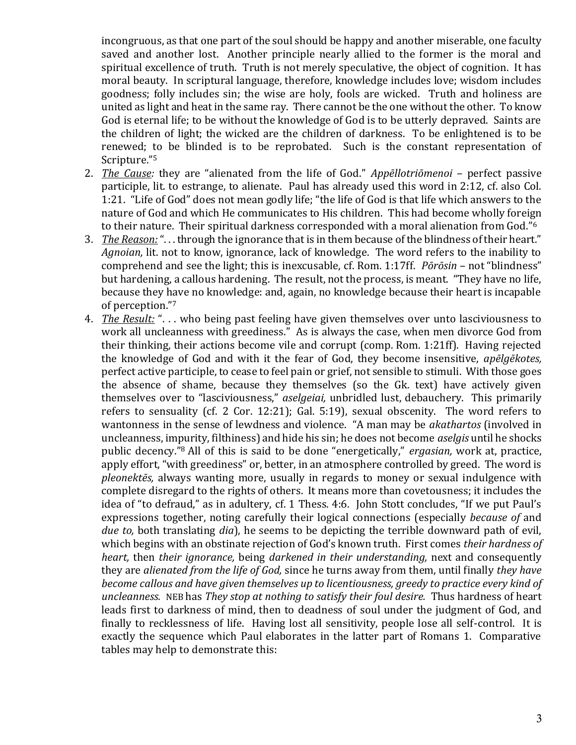incongruous, as that one part of the soul should be happy and another miserable, one faculty saved and another lost. Another principle nearly allied to the former is the moral and spiritual excellence of truth. Truth is not merely speculative, the object of cognition. It has moral beauty. In scriptural language, therefore, knowledge includes love; wisdom includes goodness; folly includes sin; the wise are holy, fools are wicked. Truth and holiness are united as light and heat in the same ray. There cannot be the one without the other. To know God is eternal life; to be without the knowledge of God is to be utterly depraved. Saints are the children of light; the wicked are the children of darkness. To be enlightened is to be renewed; to be blinded is to be reprobated. Such is the constant representation of Scripture."<sup>5</sup>

- 2. *The Cause:* they are "alienated from the life of God." *Appēllotriōmenoi*  perfect passive participle, lit. to estrange, to alienate. Paul has already used this word in 2:12, cf. also Col. 1:21. "Life of God" does not mean godly life; "the life of God is that life which answers to the nature of God and which He communicates to His children. This had become wholly foreign to their nature. Their spiritual darkness corresponded with a moral alienation from God."<sup>6</sup>
- 3. *The Reason:*". . . through the ignorance that is in them because of the blindness of their heart." *Agnoian,* lit. not to know, ignorance, lack of knowledge. The word refers to the inability to comprehend and see the light; this is inexcusable, cf. Rom. 1:17ff. *Pōrōsin* – not "blindness" but hardening, a callous hardening. The result, not the process, is meant. "They have no life, because they have no knowledge: and, again, no knowledge because their heart is incapable of perception."<sup>7</sup>
- 4. *The Result:* ". . . who being past feeling have given themselves over unto lasciviousness to work all uncleanness with greediness." As is always the case, when men divorce God from their thinking, their actions become vile and corrupt (comp. Rom. 1:21ff). Having rejected the knowledge of God and with it the fear of God, they become insensitive, *apēlgēkotes,*  perfect active participle, to cease to feel pain or grief, not sensible to stimuli. With those goes the absence of shame, because they themselves (so the Gk. text) have actively given themselves over to "lasciviousness," *aselgeiai,* unbridled lust, debauchery. This primarily refers to sensuality (cf. 2 Cor. 12:21); Gal. 5:19), sexual obscenity. The word refers to wantonness in the sense of lewdness and violence. "A man may be *akathartos* (involved in uncleanness, impurity, filthiness) and hide his sin; he does not become *aselgis* until he shocks public decency."8 All of this is said to be done "energetically," *ergasian,* work at, practice, apply effort, "with greediness" or, better, in an atmosphere controlled by greed. The word is *pleonektēs,* always wanting more, usually in regards to money or sexual indulgence with complete disregard to the rights of others. It means more than covetousness; it includes the idea of "to defraud," as in adultery, cf. 1 Thess. 4:6. John Stott concludes, "If we put Paul's expressions together, noting carefully their logical connections (especially *because of* and *due to,* both translating *dia*), he seems to be depicting the terrible downward path of evil, which begins with an obstinate rejection of God's known truth. First comes *their hardness of heart,* then *their ignorance,* being *darkened in their understanding,* next and consequently they are *alienated from the life of God,* since he turns away from them, until finally *they have become callous and have given themselves up to licentiousness, greedy to practice every kind of uncleanness.* NEB has *They stop at nothing to satisfy their foul desire.* Thus hardness of heart leads first to darkness of mind, then to deadness of soul under the judgment of God, and finally to recklessness of life. Having lost all sensitivity, people lose all self-control. It is exactly the sequence which Paul elaborates in the latter part of Romans 1. Comparative tables may help to demonstrate this: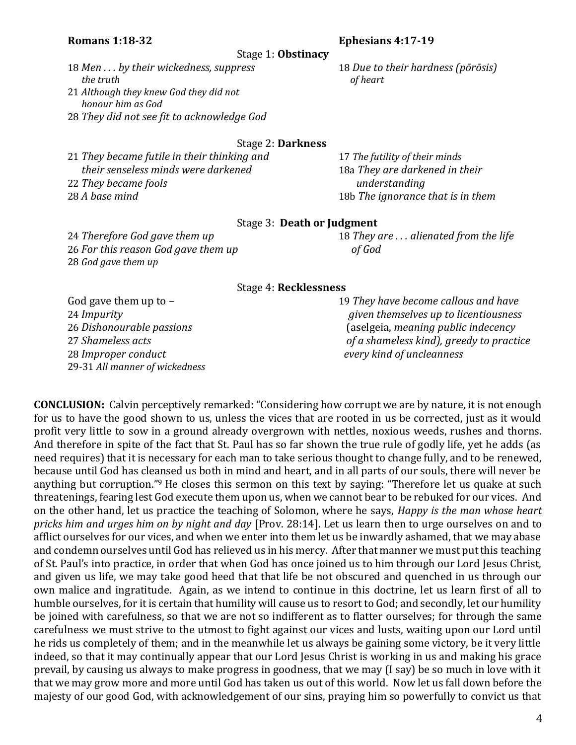## **Romans 1:18-32 Ephesians 4:17-19**

Stage 1: **Obstinacy**

18 *Men . . . by their wickedness, suppress* 18 *Due to their hardness (pōrōsis) the truth of heart* 21 *Although they knew God they did not*

 *honour him as God* 28 *They did not see fit to acknowledge God*

## Stage 2: **Darkness**

*They became futile in their thinking and* 17 *The futility of their minds their senseless minds were darkened* 18a *They are darkened in their They became fools understanding A base mind* 18b *The ignorance that is in them*

### Stage 3: **Death or Judgment**

26 *For this reason God gave them up of God* 28 *God gave them up*

24 *Therefore God gave them up* 18 *They are . . . alienated from the life*

#### Stage 4: **Recklessness**

28 *Improper conduct every kind of uncleanness* 29-31 *All manner of wickedness*

God gave them up to  $-$  19 They have become callous and have *Impurity given themselves up to licentiousness Dishonourable passions* (aselgeia, *meaning public indecency Shameless acts of a shameless kind), greedy to practice*

**CONCLUSION:** Calvin perceptively remarked: "Considering how corrupt we are by nature, it is not enough for us to have the good shown to us, unless the vices that are rooted in us be corrected, just as it would profit very little to sow in a ground already overgrown with nettles, noxious weeds, rushes and thorns. And therefore in spite of the fact that St. Paul has so far shown the true rule of godly life, yet he adds (as need requires) that it is necessary for each man to take serious thought to change fully, and to be renewed, because until God has cleansed us both in mind and heart, and in all parts of our souls, there will never be anything but corruption."9 He closes this sermon on this text by saying: "Therefore let us quake at such threatenings, fearing lest God execute them upon us, when we cannot bear to be rebuked for our vices. And on the other hand, let us practice the teaching of Solomon, where he says, *Happy is the man whose heart pricks him and urges him on by night and day* [Prov. 28:14]. Let us learn then to urge ourselves on and to afflict ourselves for our vices, and when we enter into them let us be inwardly ashamed, that we may abase and condemn ourselves until God has relieved us in his mercy. After that manner we must put this teaching of St. Paul's into practice, in order that when God has once joined us to him through our Lord Jesus Christ, and given us life, we may take good heed that that life be not obscured and quenched in us through our own malice and ingratitude. Again, as we intend to continue in this doctrine, let us learn first of all to humble ourselves, for it is certain that humility will cause us to resort to God; and secondly, let our humility be joined with carefulness, so that we are not so indifferent as to flatter ourselves; for through the same carefulness we must strive to the utmost to fight against our vices and lusts, waiting upon our Lord until he rids us completely of them; and in the meanwhile let us always be gaining some victory, be it very little indeed, so that it may continually appear that our Lord Jesus Christ is working in us and making his grace prevail, by causing us always to make progress in goodness, that we may (I say) be so much in love with it that we may grow more and more until God has taken us out of this world. Now let us fall down before the majesty of our good God, with acknowledgement of our sins, praying him so powerfully to convict us that